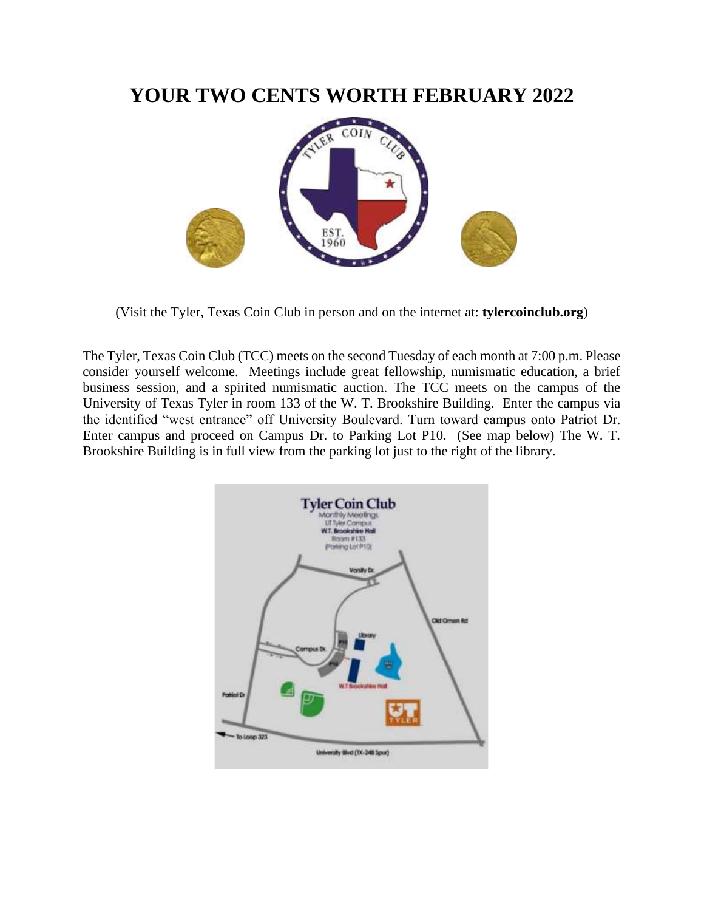## **YOUR TWO CENTS WORTH FEBRUARY 2022**



(Visit the Tyler, Texas Coin Club in person and on the internet at: **tylercoinclub.org**)

The Tyler, Texas Coin Club (TCC) meets on the second Tuesday of each month at 7:00 p.m. Please consider yourself welcome. Meetings include great fellowship, numismatic education, a brief business session, and a spirited numismatic auction. The TCC meets on the campus of the University of Texas Tyler in room 133 of the W. T. Brookshire Building. Enter the campus via the identified "west entrance" off University Boulevard. Turn toward campus onto Patriot Dr. Enter campus and proceed on Campus Dr. to Parking Lot P10. (See map below) The W. T. Brookshire Building is in full view from the parking lot just to the right of the library.

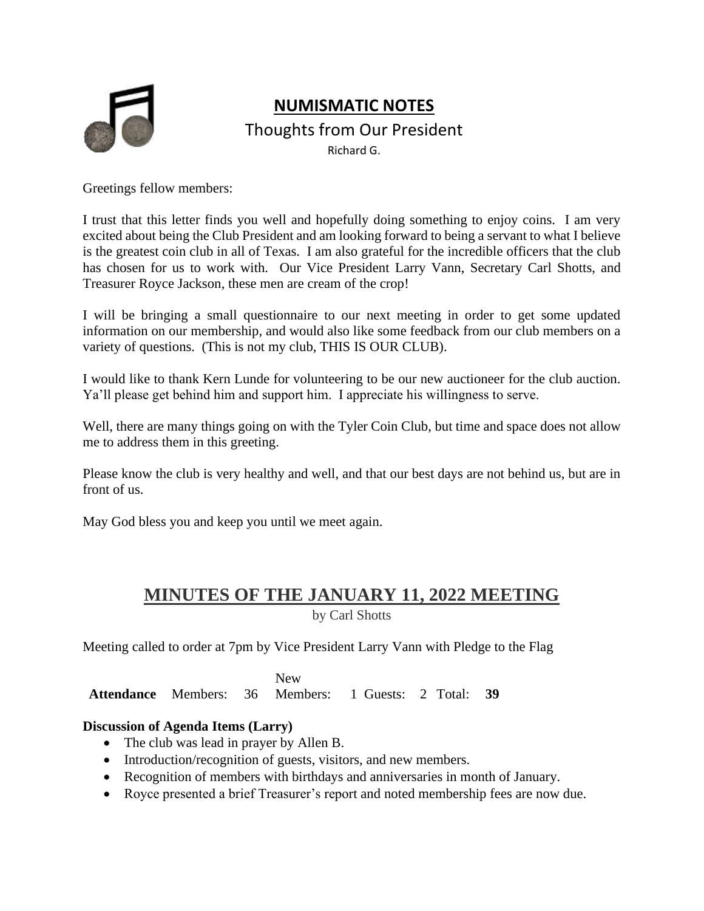

## **NUMISMATIC NOTES**

Thoughts from Our President

Richard G.

Greetings fellow members:

I trust that this letter finds you well and hopefully doing something to enjoy coins. I am very excited about being the Club President and am looking forward to being a servant to what I believe is the greatest coin club in all of Texas. I am also grateful for the incredible officers that the club has chosen for us to work with. Our Vice President Larry Vann, Secretary Carl Shotts, and Treasurer Royce Jackson, these men are cream of the crop!

I will be bringing a small questionnaire to our next meeting in order to get some updated information on our membership, and would also like some feedback from our club members on a variety of questions. (This is not my club, THIS IS OUR CLUB).

I would like to thank Kern Lunde for volunteering to be our new auctioneer for the club auction. Ya'll please get behind him and support him. I appreciate his willingness to serve.

Well, there are many things going on with the Tyler Coin Club, but time and space does not allow me to address them in this greeting.

Please know the club is very healthy and well, and that our best days are not behind us, but are in front of us.

May God bless you and keep you until we meet again.

### **MINUTES OF THE JANUARY 11, 2022 MEETING**

by Carl Shotts

Meeting called to order at 7pm by Vice President Larry Vann with Pledge to the Flag

**Attendance** Members: New Members: 1 Guests: 2 Total: **39**

#### **Discussion of Agenda Items (Larry)**

- The club was lead in prayer by Allen B.
- Introduction/recognition of guests, visitors, and new members.
- Recognition of members with birthdays and anniversaries in month of January.
- Royce presented a brief Treasurer's report and noted membership fees are now due.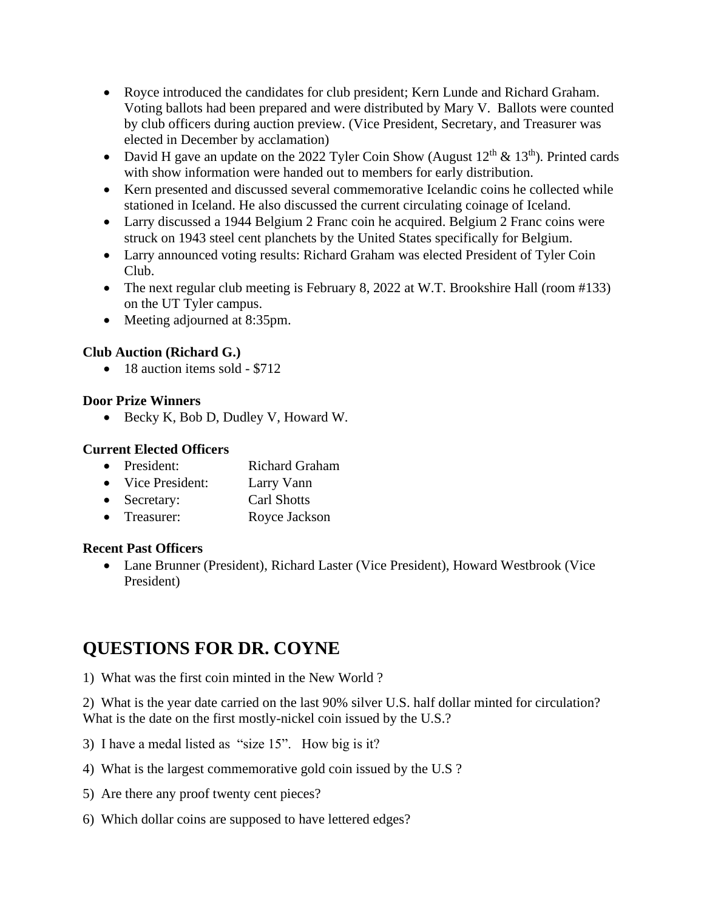- Royce introduced the candidates for club president; Kern Lunde and Richard Graham. Voting ballots had been prepared and were distributed by Mary V. Ballots were counted by club officers during auction preview. (Vice President, Secretary, and Treasurer was elected in December by acclamation)
- David H gave an update on the 2022 Tyler Coin Show (August  $12<sup>th</sup> \& 13<sup>th</sup>$ ). Printed cards with show information were handed out to members for early distribution.
- Kern presented and discussed several commemorative Icelandic coins he collected while stationed in Iceland. He also discussed the current circulating coinage of Iceland.
- Larry discussed a 1944 Belgium 2 Franc coin he acquired. Belgium 2 Franc coins were struck on 1943 steel cent planchets by the United States specifically for Belgium.
- Larry announced voting results: Richard Graham was elected President of Tyler Coin Club.
- The next regular club meeting is February 8, 2022 at W.T. Brookshire Hall (room #133) on the UT Tyler campus.
- Meeting adjourned at 8:35pm.

#### **Club Auction (Richard G.)**

• 18 auction items sold - \$712

#### **Door Prize Winners**

• Becky K, Bob D, Dudley V, Howard W.

#### **Current Elected Officers**

- President: Richard Graham
- Vice President: Larry Vann
- Secretary: Carl Shotts
- Treasurer: Royce Jackson

#### **Recent Past Officers**

• Lane Brunner (President), Richard Laster (Vice President), Howard Westbrook (Vice President)

## **QUESTIONS FOR DR. COYNE**

1) What was the first coin minted in the New World ?

2) What is the year date carried on the last 90% silver U.S. half dollar minted for circulation? What is the date on the first mostly-nickel coin issued by the U.S.?

- 3) I have a medal listed as "size 15". How big is it?
- 4) What is the largest commemorative gold coin issued by the U.S ?
- 5) Are there any proof twenty cent pieces?
- 6) Which dollar coins are supposed to have lettered edges?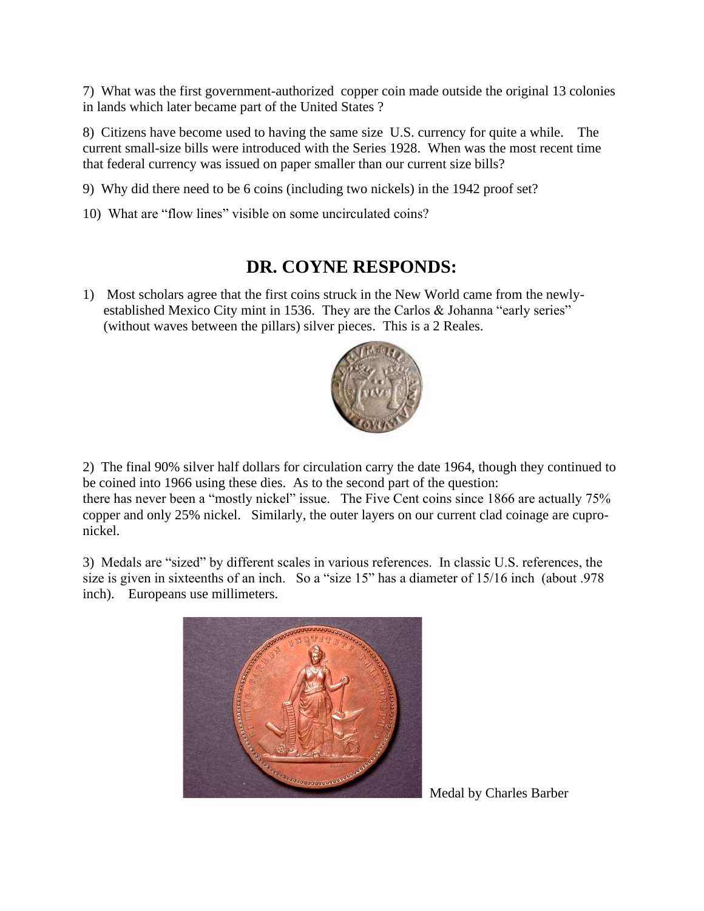7) What was the first government-authorized copper coin made outside the original 13 colonies in lands which later became part of the United States ?

8) Citizens have become used to having the same size U.S. currency for quite a while. The current small-size bills were introduced with the Series 1928. When was the most recent time that federal currency was issued on paper smaller than our current size bills?

- 9) Why did there need to be 6 coins (including two nickels) in the 1942 proof set?
- 10) What are "flow lines" visible on some uncirculated coins?

## **DR. COYNE RESPONDS:**

1) Most scholars agree that the first coins struck in the New World came from the newlyestablished Mexico City mint in 1536. They are the Carlos & Johanna "early series" (without waves between the pillars) silver pieces. This is a 2 Reales.



2) The final 90% silver half dollars for circulation carry the date 1964, though they continued to be coined into 1966 using these dies. As to the second part of the question: there has never been a "mostly nickel" issue. The Five Cent coins since 1866 are actually 75% copper and only 25% nickel. Similarly, the outer layers on our current clad coinage are cupronickel.

3) Medals are "sized" by different scales in various references. In classic U.S. references, the size is given in sixteenths of an inch. So a "size 15" has a diameter of 15/16 inch (about .978 inch). Europeans use millimeters.



Medal by Charles Barber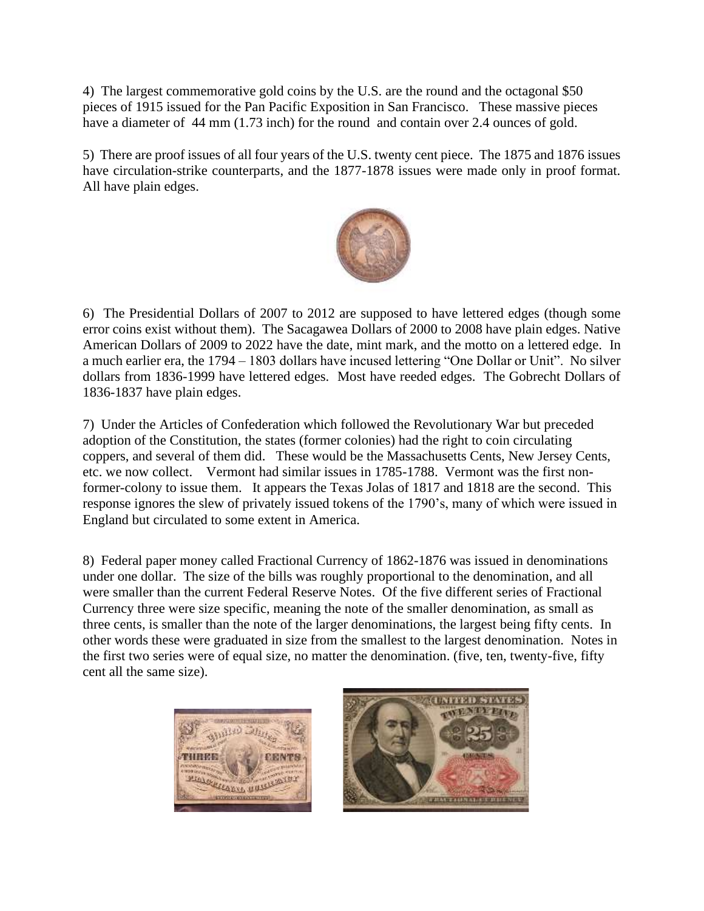4) The largest commemorative gold coins by the U.S. are the round and the octagonal \$50 pieces of 1915 issued for the Pan Pacific Exposition in San Francisco. These massive pieces have a diameter of 44 mm (1.73 inch) for the round and contain over 2.4 ounces of gold.

5) There are proof issues of all four years of the U.S. twenty cent piece. The 1875 and 1876 issues have circulation-strike counterparts, and the 1877-1878 issues were made only in proof format. All have plain edges.



6) The Presidential Dollars of 2007 to 2012 are supposed to have lettered edges (though some error coins exist without them). The Sacagawea Dollars of 2000 to 2008 have plain edges. Native American Dollars of 2009 to 2022 have the date, mint mark, and the motto on a lettered edge. In a much earlier era, the 1794 – 1803 dollars have incused lettering "One Dollar or Unit". No silver dollars from 1836-1999 have lettered edges. Most have reeded edges. The Gobrecht Dollars of 1836-1837 have plain edges.

7) Under the Articles of Confederation which followed the Revolutionary War but preceded adoption of the Constitution, the states (former colonies) had the right to coin circulating coppers, and several of them did. These would be the Massachusetts Cents, New Jersey Cents, etc. we now collect. Vermont had similar issues in 1785-1788. Vermont was the first nonformer-colony to issue them. It appears the Texas Jolas of 1817 and 1818 are the second. This response ignores the slew of privately issued tokens of the 1790's, many of which were issued in England but circulated to some extent in America.

8) Federal paper money called Fractional Currency of 1862-1876 was issued in denominations under one dollar. The size of the bills was roughly proportional to the denomination, and all were smaller than the current Federal Reserve Notes. Of the five different series of Fractional Currency three were size specific, meaning the note of the smaller denomination, as small as three cents, is smaller than the note of the larger denominations, the largest being fifty cents. In other words these were graduated in size from the smallest to the largest denomination. Notes in the first two series were of equal size, no matter the denomination. (five, ten, twenty-five, fifty cent all the same size).



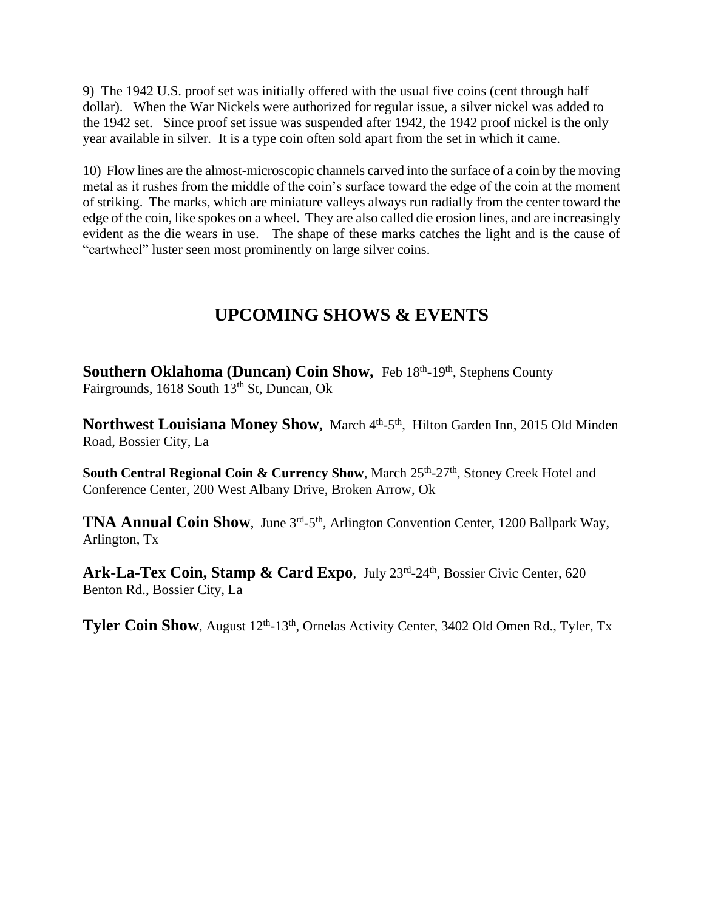9) The 1942 U.S. proof set was initially offered with the usual five coins (cent through half dollar). When the War Nickels were authorized for regular issue, a silver nickel was added to the 1942 set. Since proof set issue was suspended after 1942, the 1942 proof nickel is the only year available in silver. It is a type coin often sold apart from the set in which it came.

10) Flow lines are the almost-microscopic channels carved into the surface of a coin by the moving metal as it rushes from the middle of the coin's surface toward the edge of the coin at the moment of striking. The marks, which are miniature valleys always run radially from the center toward the edge of the coin, like spokes on a wheel. They are also called die erosion lines, and are increasingly evident as the die wears in use. The shape of these marks catches the light and is the cause of "cartwheel" luster seen most prominently on large silver coins.

### **UPCOMING SHOWS & EVENTS**

**Southern Oklahoma (Duncan) Coin Show, Feb 18th-19th, Stephens County** Fairgrounds, 1618 South 13<sup>th</sup> St, Duncan, Ok

Northwest Louisiana Money Show, March 4<sup>th</sup>-5<sup>th</sup>, Hilton Garden Inn, 2015 Old Minden Road, Bossier City, La

South Central Regional Coin & Currency Show, March 25<sup>th</sup>-27<sup>th</sup>, Stoney Creek Hotel and Conference Center, 200 West Albany Drive, Broken Arrow, Ok

**TNA Annual Coin Show**, June 3<sup>rd</sup>-5<sup>th</sup>, Arlington Convention Center, 1200 Ballpark Way, Arlington, Tx

Ark-La-Tex Coin, Stamp & Card Expo, July 23<sup>rd</sup>-24<sup>th</sup>, Bossier Civic Center, 620 Benton Rd., Bossier City, La

Tyler Coin Show, August 12<sup>th</sup>-13<sup>th</sup>, Ornelas Activity Center, 3402 Old Omen Rd., Tyler, Tx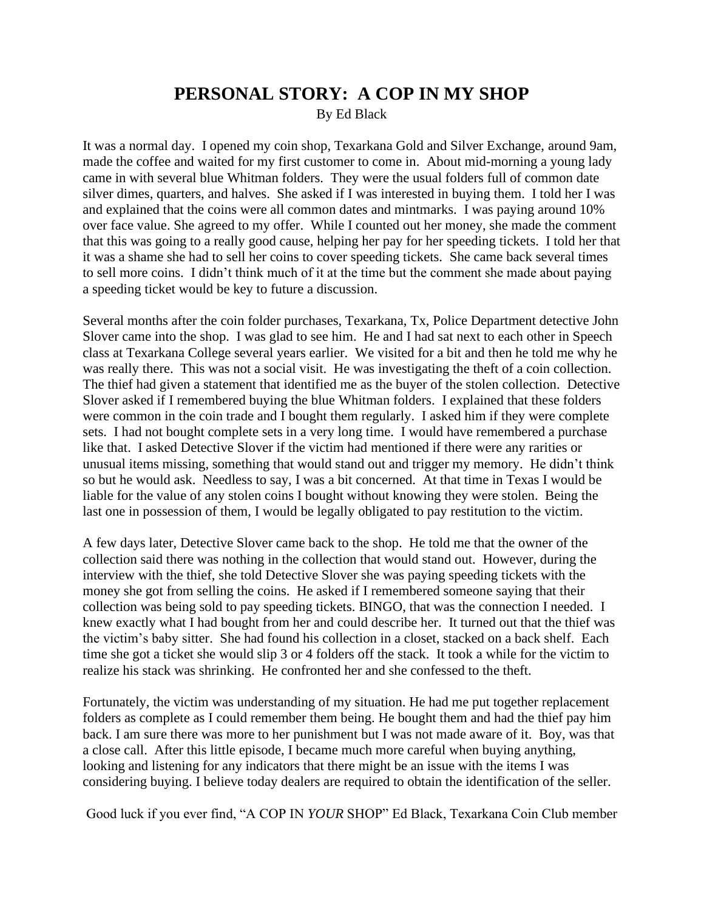### **PERSONAL STORY: A COP IN MY SHOP** By Ed Black

It was a normal day. I opened my coin shop, Texarkana Gold and Silver Exchange, around 9am, made the coffee and waited for my first customer to come in. About mid-morning a young lady came in with several blue Whitman folders. They were the usual folders full of common date silver dimes, quarters, and halves. She asked if I was interested in buying them. I told her I was and explained that the coins were all common dates and mintmarks. I was paying around 10% over face value. She agreed to my offer. While I counted out her money, she made the comment that this was going to a really good cause, helping her pay for her speeding tickets. I told her that it was a shame she had to sell her coins to cover speeding tickets. She came back several times to sell more coins. I didn't think much of it at the time but the comment she made about paying a speeding ticket would be key to future a discussion.

Several months after the coin folder purchases, Texarkana, Tx, Police Department detective John Slover came into the shop. I was glad to see him. He and I had sat next to each other in Speech class at Texarkana College several years earlier. We visited for a bit and then he told me why he was really there. This was not a social visit. He was investigating the theft of a coin collection. The thief had given a statement that identified me as the buyer of the stolen collection. Detective Slover asked if I remembered buying the blue Whitman folders. I explained that these folders were common in the coin trade and I bought them regularly. I asked him if they were complete sets. I had not bought complete sets in a very long time. I would have remembered a purchase like that. I asked Detective Slover if the victim had mentioned if there were any rarities or unusual items missing, something that would stand out and trigger my memory. He didn't think so but he would ask. Needless to say, I was a bit concerned. At that time in Texas I would be liable for the value of any stolen coins I bought without knowing they were stolen. Being the last one in possession of them, I would be legally obligated to pay restitution to the victim.

A few days later, Detective Slover came back to the shop. He told me that the owner of the collection said there was nothing in the collection that would stand out. However, during the interview with the thief, she told Detective Slover she was paying speeding tickets with the money she got from selling the coins. He asked if I remembered someone saying that their collection was being sold to pay speeding tickets. BINGO, that was the connection I needed. I knew exactly what I had bought from her and could describe her. It turned out that the thief was the victim's baby sitter. She had found his collection in a closet, stacked on a back shelf. Each time she got a ticket she would slip 3 or 4 folders off the stack. It took a while for the victim to realize his stack was shrinking. He confronted her and she confessed to the theft.

Fortunately, the victim was understanding of my situation. He had me put together replacement folders as complete as I could remember them being. He bought them and had the thief pay him back. I am sure there was more to her punishment but I was not made aware of it. Boy, was that a close call. After this little episode, I became much more careful when buying anything, looking and listening for any indicators that there might be an issue with the items I was considering buying. I believe today dealers are required to obtain the identification of the seller.

Good luck if you ever find, "A COP IN *YOUR* SHOP" Ed Black, Texarkana Coin Club member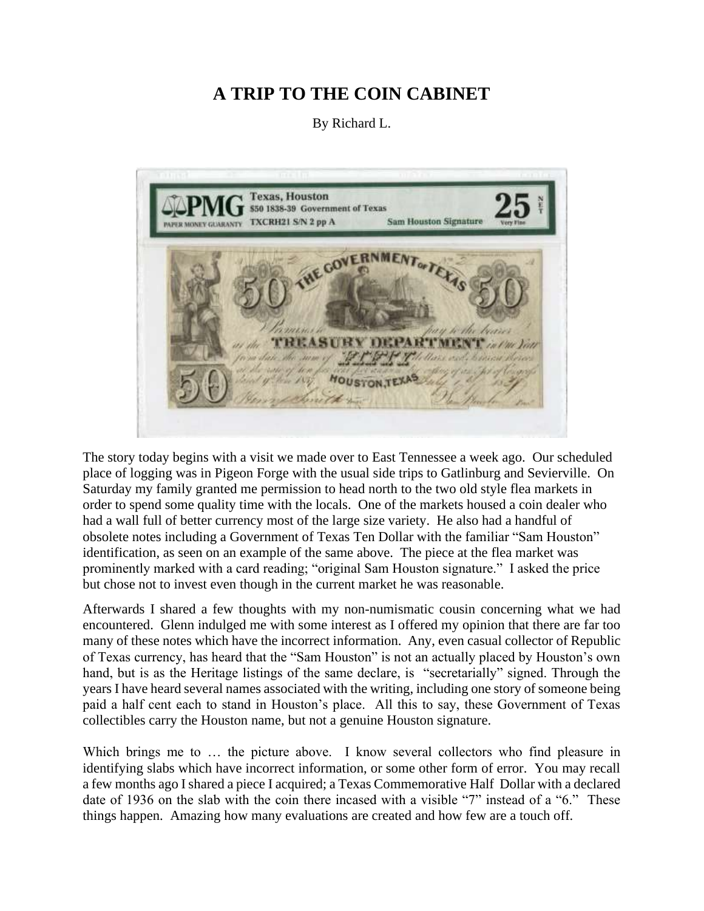# **A TRIP TO THE COIN CABINET**

By Richard L.



The story today begins with a visit we made over to East Tennessee a week ago. Our scheduled place of logging was in Pigeon Forge with the usual side trips to Gatlinburg and Sevierville. On Saturday my family granted me permission to head north to the two old style flea markets in order to spend some quality time with the locals. One of the markets housed a coin dealer who had a wall full of better currency most of the large size variety. He also had a handful of obsolete notes including a Government of Texas Ten Dollar with the familiar "Sam Houston" identification, as seen on an example of the same above. The piece at the flea market was prominently marked with a card reading; "original Sam Houston signature." I asked the price but chose not to invest even though in the current market he was reasonable.

Afterwards I shared a few thoughts with my non-numismatic cousin concerning what we had encountered. Glenn indulged me with some interest as I offered my opinion that there are far too many of these notes which have the incorrect information. Any, even casual collector of Republic of Texas currency, has heard that the "Sam Houston" is not an actually placed by Houston's own hand, but is as the Heritage listings of the same declare, is "secretarially" signed. Through the years I have heard several names associated with the writing, including one story of someone being paid a half cent each to stand in Houston's place. All this to say, these Government of Texas collectibles carry the Houston name, but not a genuine Houston signature.

Which brings me to ... the picture above. I know several collectors who find pleasure in identifying slabs which have incorrect information, or some other form of error. You may recall a few months ago I shared a piece I acquired; a Texas Commemorative Half Dollar with a declared date of 1936 on the slab with the coin there incased with a visible "7" instead of a "6." These things happen. Amazing how many evaluations are created and how few are a touch off.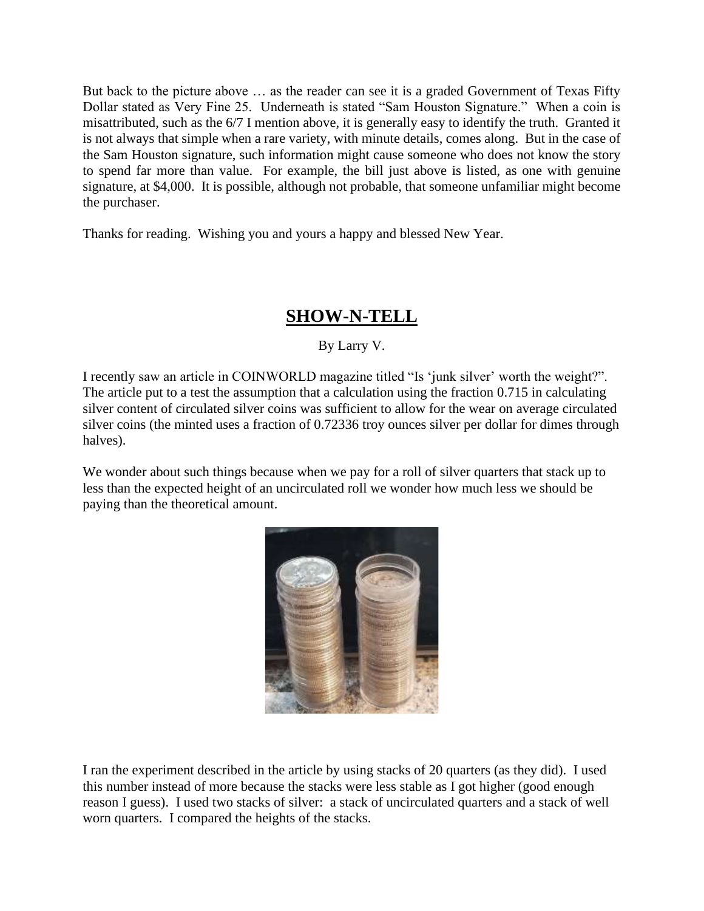But back to the picture above … as the reader can see it is a graded Government of Texas Fifty Dollar stated as Very Fine 25. Underneath is stated "Sam Houston Signature." When a coin is misattributed, such as the 6/7 I mention above, it is generally easy to identify the truth. Granted it is not always that simple when a rare variety, with minute details, comes along. But in the case of the Sam Houston signature, such information might cause someone who does not know the story to spend far more than value. For example, the bill just above is listed, as one with genuine signature, at \$4,000. It is possible, although not probable, that someone unfamiliar might become the purchaser.

Thanks for reading. Wishing you and yours a happy and blessed New Year.

# **SHOW-N-TELL**

By Larry V.

I recently saw an article in COINWORLD magazine titled "Is 'junk silver' worth the weight?". The article put to a test the assumption that a calculation using the fraction 0.715 in calculating silver content of circulated silver coins was sufficient to allow for the wear on average circulated silver coins (the minted uses a fraction of 0.72336 troy ounces silver per dollar for dimes through halves).

We wonder about such things because when we pay for a roll of silver quarters that stack up to less than the expected height of an uncirculated roll we wonder how much less we should be paying than the theoretical amount.



I ran the experiment described in the article by using stacks of 20 quarters (as they did). I used this number instead of more because the stacks were less stable as I got higher (good enough reason I guess). I used two stacks of silver: a stack of uncirculated quarters and a stack of well worn quarters. I compared the heights of the stacks.